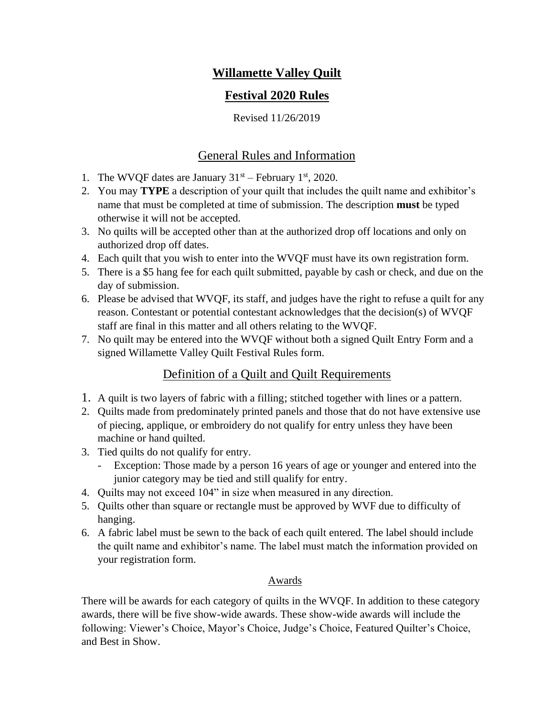# **Willamette Valley Quilt**

# **Festival 2020 Rules**

Revised 11/26/2019

# General Rules and Information

- 1. The WVQF dates are January  $31<sup>st</sup>$  February  $1<sup>st</sup>$ , 2020.
- 2. You may **TYPE** a description of your quilt that includes the quilt name and exhibitor's name that must be completed at time of submission. The description **must** be typed otherwise it will not be accepted.
- 3. No quilts will be accepted other than at the authorized drop off locations and only on authorized drop off dates.
- 4. Each quilt that you wish to enter into the WVQF must have its own registration form.
- 5. There is a \$5 hang fee for each quilt submitted, payable by cash or check, and due on the day of submission.
- 6. Please be advised that WVQF, its staff, and judges have the right to refuse a quilt for any reason. Contestant or potential contestant acknowledges that the decision(s) of WVQF staff are final in this matter and all others relating to the WVQF.
- 7. No quilt may be entered into the WVQF without both a signed Quilt Entry Form and a signed Willamette Valley Quilt Festival Rules form.

# Definition of a Quilt and Quilt Requirements

- 1. A quilt is two layers of fabric with a filling; stitched together with lines or a pattern.
- 2. Quilts made from predominately printed panels and those that do not have extensive use of piecing, applique, or embroidery do not qualify for entry unless they have been machine or hand quilted.
- 3. Tied quilts do not qualify for entry.
	- Exception: Those made by a person 16 years of age or younger and entered into the junior category may be tied and still qualify for entry.
- 4. Quilts may not exceed 104" in size when measured in any direction.
- 5. Quilts other than square or rectangle must be approved by WVF due to difficulty of hanging.
- 6. A fabric label must be sewn to the back of each quilt entered. The label should include the quilt name and exhibitor's name. The label must match the information provided on your registration form.

## Awards

There will be awards for each category of quilts in the WVQF. In addition to these category awards, there will be five show-wide awards. These show-wide awards will include the following: Viewer's Choice, Mayor's Choice, Judge's Choice, Featured Quilter's Choice, and Best in Show.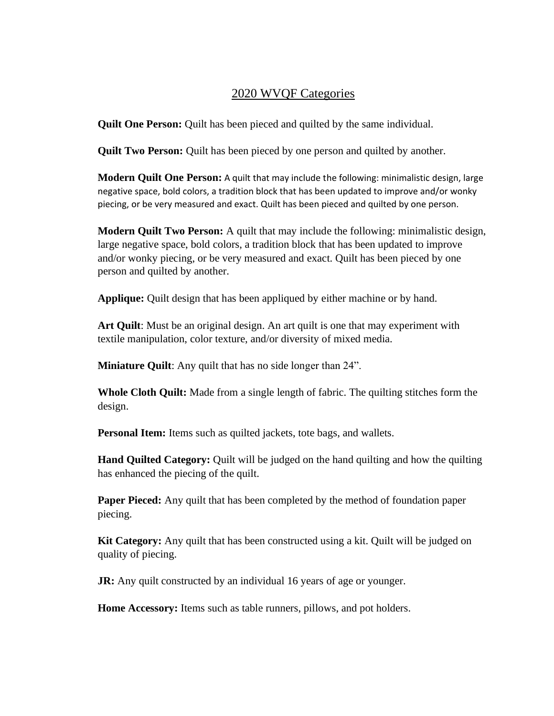### 2020 WVQF Categories

**Quilt One Person:** Quilt has been pieced and quilted by the same individual.

**Quilt Two Person:** Quilt has been pieced by one person and quilted by another.

**Modern Quilt One Person:** A quilt that may include the following: minimalistic design, large negative space, bold colors, a tradition block that has been updated to improve and/or wonky piecing, or be very measured and exact. Quilt has been pieced and quilted by one person.

**Modern Quilt Two Person:** A quilt that may include the following: minimalistic design, large negative space, bold colors, a tradition block that has been updated to improve and/or wonky piecing, or be very measured and exact. Quilt has been pieced by one person and quilted by another.

**Applique:** Quilt design that has been appliqued by either machine or by hand.

**Art Quilt**: Must be an original design. An art quilt is one that may experiment with textile manipulation, color texture, and/or diversity of mixed media.

**Miniature Quilt:** Any quilt that has no side longer than 24".

**Whole Cloth Quilt:** Made from a single length of fabric. The quilting stitches form the design.

**Personal Item:** Items such as quilted jackets, tote bags, and wallets.

**Hand Quilted Category:** Quilt will be judged on the hand quilting and how the quilting has enhanced the piecing of the quilt.

**Paper Pieced:** Any quilt that has been completed by the method of foundation paper piecing.

**Kit Category:** Any quilt that has been constructed using a kit. Quilt will be judged on quality of piecing.

**JR:** Any quilt constructed by an individual 16 years of age or younger.

**Home Accessory:** Items such as table runners, pillows, and pot holders.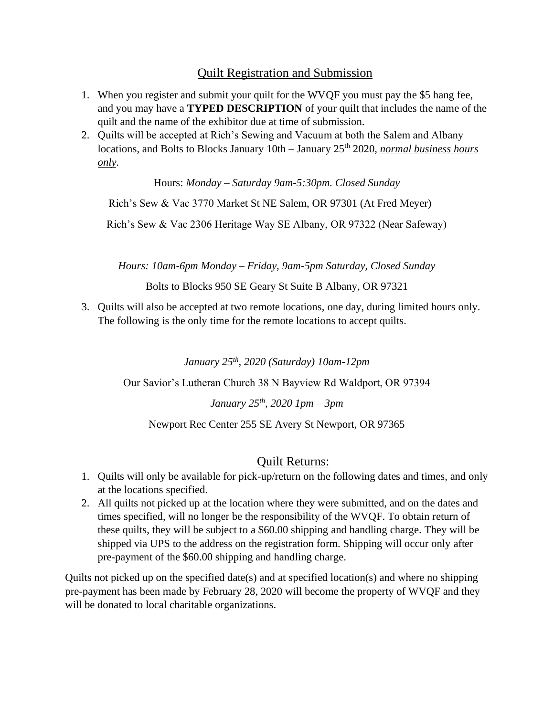## Quilt Registration and Submission

- 1. When you register and submit your quilt for the WVQF you must pay the \$5 hang fee, and you may have a **TYPED DESCRIPTION** of your quilt that includes the name of the quilt and the name of the exhibitor due at time of submission.
- 2. Quilts will be accepted at Rich's Sewing and Vacuum at both the Salem and Albany locations, and Bolts to Blocks January 10th – January 25<sup>th</sup> 2020, *normal business hours only*.

Hours: *Monday – Saturday 9am-5:30pm. Closed Sunday*

Rich's Sew & Vac 3770 Market St NE Salem, OR 97301 (At Fred Meyer)

Rich's Sew & Vac 2306 Heritage Way SE Albany, OR 97322 (Near Safeway)

*Hours: 10am-6pm Monday – Friday, 9am-5pm Saturday, Closed Sunday*

Bolts to Blocks 950 SE Geary St Suite B Albany, OR 97321

3. Quilts will also be accepted at two remote locations, one day, during limited hours only. The following is the only time for the remote locations to accept quilts.

*January 25th, 2020 (Saturday) 10am-12pm*

Our Savior's Lutheran Church 38 N Bayview Rd Waldport, OR 97394

*January 25th, 2020 1pm – 3pm*

Newport Rec Center 255 SE Avery St Newport, OR 97365

### Quilt Returns:

- 1. Quilts will only be available for pick-up/return on the following dates and times, and only at the locations specified.
- 2. All quilts not picked up at the location where they were submitted, and on the dates and times specified, will no longer be the responsibility of the WVQF. To obtain return of these quilts, they will be subject to a \$60.00 shipping and handling charge. They will be shipped via UPS to the address on the registration form. Shipping will occur only after pre-payment of the \$60.00 shipping and handling charge.

Quilts not picked up on the specified date(s) and at specified location(s) and where no shipping pre-payment has been made by February 28, 2020 will become the property of WVQF and they will be donated to local charitable organizations.